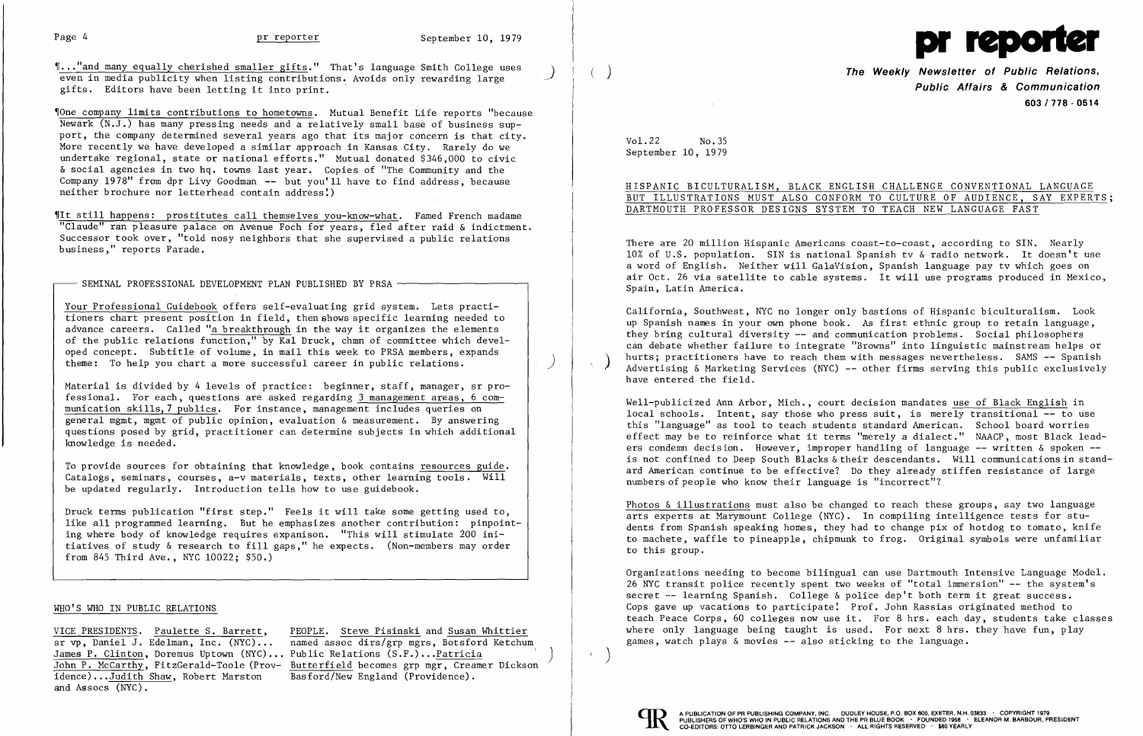

 $\ldots$  "and many equally cherished smaller gifts." That's language Smith College uses even in media publicity when listing contributions. Avoids only rewarding large gifts. Editors have been letting it into print.

Vone company limits contributions to hometowns. Mutual Benefit Life reports "because Newark (N.J.) has many pressing needs and a relatively small base of business support, the company determined several years ago that its major concern is that city. More recently we have developed a similar approach in Kansas City. Rarely do we undertake regional, state or national efforts." Mutual donated \$346,000 to civic & social agencies in two hq. towns last year. Copies of "The Community and the Company 1978" f rom dpr Livy Goodman -- but you'll have to find address, because neither brochure nor letterhead contain address:)

Your Professional Guidebook offers self-evaluating grid system. Lets practi tioners chart present position in field, then shows specific learning needed to advance careers. Called "a breakthrough in the way it organizes the elements of the public relations function," by Kal Druck, chmn of committee which developed concept. Subtitle of volume, in mail this week to PRSA members, expands theme: To help you chart a more successful career in public relations.  $\left( \begin{array}{c} \begin{array}{c} \end{array} \end{array} \right)$ 

'[It still happens: prostitutes call themselves you-know-what. Famed French madame "Claude" ran pleasure palace on Avenue Foch for years, fled after raid & indictment. Successor took over, "told nosy neighbors that she supervised a public relations business," reports Parade.

SEMINAL PROFESSIONAL DEVELOPMENT PLAN PUBLISHED BY PRSA -

Material is divided by 4 levels of practice:  $\,$  beginner,  $\,$ staff, manager,  $\,$ sr $\,$  pro- $\,$ fessional. For each, questions are asked regarding 3 management areas, 6 communication skills, 7 publics. For instance, management includes queries on general mgmt, mgmt of public opinion, evaluation & measurement. By answering questions posed by grid, practitioner can determine subjects in which additional knowledge is needed.

VICE PRESIDENTS. Paulette S. Barrett, PEOPLE. Steve Pisinski and Susan Whittier sr vp, Daniel J. Edelman, Inc. (NYC) ... named assoc dirs/grp mgrs, Botsford Ketchum John P. McCarthy, FitzGerald-Toole (Prov- Butterfield becomes grp mgr, Creamer Dickson idence)...Judith Shaw, Robert Marston Basford/New England (Providence).

James P. Clinton, Doremus Uptown (NYC)... Public Relations (S.F.)...Patricia idence)...Judith Shaw, Robert Marston and Assocs (NYC).

To provide sources for obtaining that knowledge, book contains resources guide. Catalogs, seminars, courses, a-v materials, texts, other learning tools. Will be updated regularly. Introduction tells how to use guidebook.

Well-publicized Ann Arbor, Mich., court decision mandates use of Black English in local schools. Intent, say those who press suit, is merely transitional -- to use this "language" as tool to teach students standard American. School board worries effect may be to reinforce what it terms "merely a dialect." NAACP, most Black leaders condemn decision. However, improper handling of language -- written & spoken -is not confined to Deep South Blacks & their descendants. Will communications in standard American continue to be effective? Do they already stiffen resistance of large numbers of people who know their language is "incorrect"?

Druck terms publication "first step." Feels it will take some getting used to, like all programmed learning. But he emphasizes another contribution: pinpoint ing where body of knowledge requires expanison. "This will stimulate 200 ini tiatives of study & research to fill gaps," he expects. (Non-members may order from 845 Third Ave., NYC 10022; \$50.)

> Organizations needing to become bilingual can use Dartmouth Intensive Language Model. 26 NYC transit police recently spent two weeks of "total immersion" -- the system's secret -- learning Spanish. College & police dep't both term it great success. Cops gave up vacations to participate: Prof. John Rassias originated method to teach Peace Corps, 60 colleges now use it. For 8 hrs. each day, students take classes where only language being taught is used. For next  $8$  hrs. they have fun, play games, watch plays  $\&$  movies  $\leftarrow$  also sticking to the language.



 $\left( \right)$ 

## WHO'S WHO IN PUBLIC RELATIONS

) The Weekly Newsletter of Public Relations, Public Affairs & Communication *603/778* - 0514

Vo1.22 No.35 September 10, 1979

HISPANIC BICULTURALISM, BLACK ENGLISH CHALLENGE CONVENTIONAL LANGUAGE BUT ILLUSTRATIONS MUST ALSO CONFORM TO CULTURE OF AUDIENCE, SAY EXPERTS; DARTMOUTH PROFESSOR DESIGNS SYSTEM TO TEACH NEW LANGUAGE FAST

There are 20 million Hispanic Americans coast-to-coast, according to SIN. Nearly 10% of U.S. population. SIN is national Spanish tv & radio network. It doesn't use a word of English. Neither will GalaVision, Spanish language pay tv which goes on air Oct. 26 via satellite to cable systems. It will use programs produced in Mexico, Spain, Latin America.

California, Southwest, NYC no longer only bastions of Hispanic biculturalism. Look up Spanish names in your own phone book. As first ethnic group to retain language, they bring cultural diversity -- and communication problems. Social philosophers can debate whether failure to integrate "Browns" into linguistic mainstream helps or hurts; practitioners have to reach them with messages nevertheless. SAMS -- Spanish<br>Advertising & Marketing Services (NYC) -- other firms serving this public exclusively have entered the field.

Photos & illustrations must also be changed to reach these groups, say two language arts experts at Marymount College (NYC). In compiling intelligence tests for students from Spanish speaking homes, they had to change pix of hotdog to tomato, knife to machete, waffle to pineapple, chipmunk to frog. Original symbols were unfamiliar to this group.